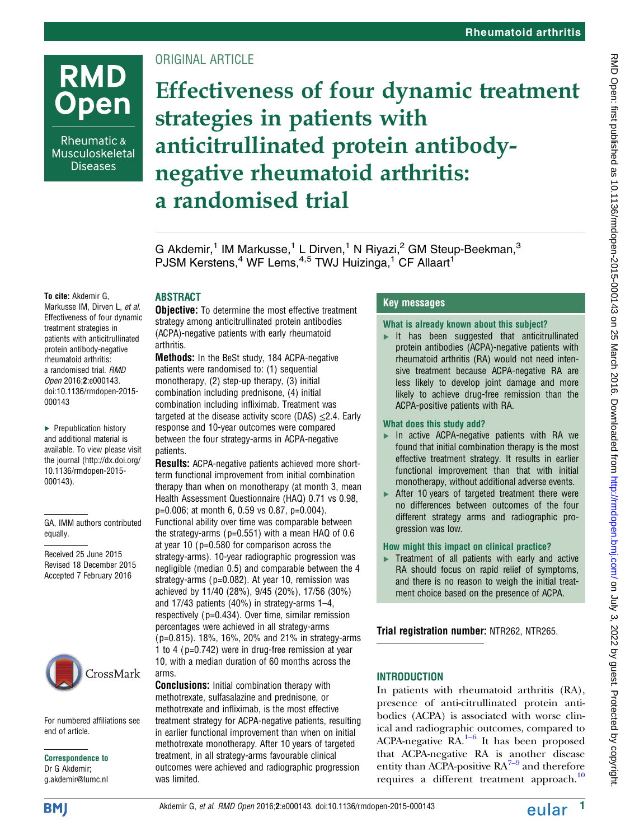Rheumatic & Musculoskeletal **Diseases** 

# ORIGINAL ARTICLE

Effectiveness of four dynamic treatment strategies in patients with anticitrullinated protein antibodynegative rheumatoid arthritis: a randomised trial

G Akdemir,<sup>1</sup> IM Markusse,<sup>1</sup> L Dirven,<sup>1</sup> N Riyazi,<sup>2</sup> GM Steup-Beekman,<sup>3</sup> PJSM Kerstens,<sup>4</sup> WF Lems,<sup>4,5</sup> TWJ Huizinga,<sup>1</sup> CF Allaart<sup>1</sup>

#### To cite: Akdemir G,

Markusse IM, Dirven L, et al. Effectiveness of four dynamic treatment strategies in patients with anticitrullinated protein antibody-negative rheumatoid arthritis: a randomised trial. RMD Open 2016;2:e000143. doi:10.1136/rmdopen-2015- 000143

▶ Prepublication history and additional material is available. To view please visit the journal [\(http://dx.doi.org/](http://dx.doi.org/10.1136/rmdopen-2015-000143) [10.1136/rmdopen-2015-](http://dx.doi.org/10.1136/rmdopen-2015-000143) [000143\)](http://dx.doi.org/10.1136/rmdopen-2015-000143).

GA, IMM authors contributed equally.

Received 25 June 2015 Revised 18 December 2015 Accepted 7 February 2016



For numbered affiliations see end of article.

Correspondence to Dr G Akdemir; g.akdemir@lumc.nl

# ABSTRACT

**Objective:** To determine the most effective treatment strategy among anticitrullinated protein antibodies (ACPA)-negative patients with early rheumatoid arthritis.

Methods: In the BeSt study, 184 ACPA-negative patients were randomised to: (1) sequential monotherapy, (2) step-up therapy, (3) initial combination including prednisone, (4) initial combination including infliximab. Treatment was targeted at the disease activity score (DAS)  $\leq$ 2.4. Early response and 10-year outcomes were compared between the four strategy-arms in ACPA-negative patients.

Results: ACPA-negative patients achieved more shortterm functional improvement from initial combination therapy than when on monotherapy (at month 3, mean Health Assessment Questionnaire (HAQ) 0.71 vs 0.98, p=0.006; at month 6, 0.59 vs 0.87, p=0.004). Functional ability over time was comparable between the strategy-arms ( $p=0.551$ ) with a mean HAQ of 0.6 at year 10 ( p=0.580 for comparison across the strategy-arms). 10-year radiographic progression was negligible (median 0.5) and comparable between the 4 strategy-arms ( $p=0.082$ ). At year 10, remission was achieved by 11/40 (28%), 9/45 (20%), 17/56 (30%) and 17/43 patients (40%) in strategy-arms 1–4, respectively ( p=0.434). Over time, similar remission percentages were achieved in all strategy-arms ( p=0.815). 18%, 16%, 20% and 21% in strategy-arms 1 to 4 ( p=0.742) were in drug-free remission at year 10, with a median duration of 60 months across the arms.

Conclusions: Initial combination therapy with methotrexate, sulfasalazine and prednisone, or methotrexate and infliximab, is the most effective treatment strategy for ACPA-negative patients, resulting in earlier functional improvement than when on initial methotrexate monotherapy. After 10 years of targeted treatment, in all strategy-arms favourable clinical outcomes were achieved and radiographic progression was limited.

# Key messages

#### What is already known about this subject?

 $\blacktriangleright$  It has been suggested that anticitrullinated protein antibodies (ACPA)-negative patients with rheumatoid arthritis (RA) would not need intensive treatment because ACPA-negative RA are less likely to develop joint damage and more likely to achieve drug-free remission than the ACPA-positive patients with RA.

#### What does this study add?

- ▸ In active ACPA-negative patients with RA we found that initial combination therapy is the most effective treatment strategy. It results in earlier functional improvement than that with initial monotherapy, without additional adverse events.
- ▶ After 10 years of targeted treatment there were no differences between outcomes of the four different strategy arms and radiographic progression was low.

### How might this impact on clinical practice?

 $\blacktriangleright$  Treatment of all patients with early and active RA should focus on rapid relief of symptoms, and there is no reason to weigh the initial treatment choice based on the presence of ACPA.

Trial registration number: NTR262, NTR265.

# INTRODUCTION

In patients with rheumatoid arthritis (RA), presence of anti-citrullinated protein antibodies (ACPA) is associated with worse clinical and radiograp[hic](#page-7-0) outcomes, compared to ACPA-negative  $RA.<sup>1–6</sup>$  It has been proposed that ACPA-negative RA is another disease entity than ACPA-positive  $RA^{7-9}$  and therefore requires a different treatment approach.<sup>[10](#page-7-0)</sup>

**BMI**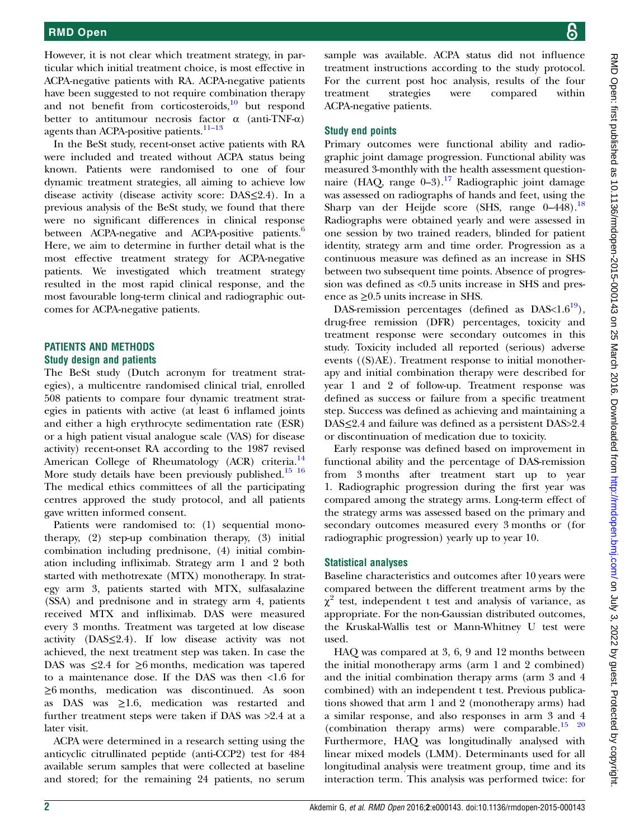However, it is not clear which treatment strategy, in particular which initial treatment choice, is most effective in ACPA-negative patients with RA. ACPA-negative patients have been suggested to not require combination therapy and not benefit from corticosteroids, $\frac{10}{10}$  $\frac{10}{10}$  $\frac{10}{10}$  but respond better to antitumour necrosis factor  $\alpha$  (anti-TNF- $\alpha$ ) agents than ACPA-positive patients.<sup>11-[13](#page-7-0)</sup>

In the BeSt study, recent-onset active patients with RA were included and treated without ACPA status being known. Patients were randomised to one of four dynamic treatment strategies, all aiming to achieve low disease activity (disease activity score: DAS≤2.4). In a previous analysis of the BeSt study, we found that there were no significant differences in clinical response between ACPA-negative and ACPA-positive patients.<sup>[6](#page-7-0)</sup> Here, we aim to determine in further detail what is the most effective treatment strategy for ACPA-negative patients. We investigated which treatment strategy resulted in the most rapid clinical response, and the most favourable long-term clinical and radiographic outcomes for ACPA-negative patients.

### PATIENTS AND METHODS Study design and patients

The BeSt study (Dutch acronym for treatment strategies), a multicentre randomised clinical trial, enrolled 508 patients to compare four dynamic treatment strategies in patients with active (at least 6 inflamed joints and either a high erythrocyte sedimentation rate (ESR) or a high patient visual analogue scale (VAS) for disease activity) recent-onset RA according to the 1987 revised American College of Rheumatology (ACR) criteria.<sup>[14](#page-7-0)</sup> More study details have been previously published.<sup>[15 16](#page-7-0)</sup> The medical ethics committees of all the participating centres approved the study protocol, and all patients gave written informed consent.

Patients were randomised to: (1) sequential monotherapy, (2) step-up combination therapy, (3) initial combination including prednisone, (4) initial combination including infliximab. Strategy arm 1 and 2 both started with methotrexate (MTX) monotherapy. In strategy arm 3, patients started with MTX, sulfasalazine (SSA) and prednisone and in strategy arm 4, patients received MTX and infliximab. DAS were measured every 3 months. Treatment was targeted at low disease activity  $(DAS \leq 2.4)$ . If low disease activity was not achieved, the next treatment step was taken. In case the DAS was  $\leq$ 2.4 for  $\geq$ 6 months, medication was tapered to a maintenance dose. If the DAS was then <1.6 for ≥6 months, medication was discontinued. As soon as DAS was ≥1.6, medication was restarted and further treatment steps were taken if DAS was >2.4 at a later visit.

ACPA were determined in a research setting using the anticyclic citrullinated peptide (anti-CCP2) test for 484 available serum samples that were collected at baseline and stored; for the remaining 24 patients, no serum

sample was available. ACPA status did not influence treatment instructions according to the study protocol. For the current post hoc analysis, results of the four treatment strategies were compared within ACPA-negative patients.

## Study end points

Primary outcomes were functional ability and radiographic joint damage progression. Functional ability was measured 3-monthly with the health assessment questionnaire (HAQ, range  $0-3$ ).<sup>[17](#page-7-0)</sup> Radiographic joint damage was assessed on radiographs of hands and feet, using the Sharp van der Heijde score (SHS, range 0–448).<sup>[18](#page-7-0)</sup> Radiographs were obtained yearly and were assessed in one session by two trained readers, blinded for patient identity, strategy arm and time order. Progression as a continuous measure was defined as an increase in SHS between two subsequent time points. Absence of progression was defined as <0.5 units increase in SHS and presence as ≥0.5 units increase in SHS.

DAS-remission percentages (defined as  $DAS < 1.6^{19}$ ), drug-free remission (DFR) percentages, toxicity and treatment response were secondary outcomes in this study. Toxicity included all reported (serious) adverse events ((S)AE). Treatment response to initial monotherapy and initial combination therapy were described for year 1 and 2 of follow-up. Treatment response was defined as success or failure from a specific treatment step. Success was defined as achieving and maintaining a DAS≤2.4 and failure was defined as a persistent DAS>2.4 or discontinuation of medication due to toxicity.

Early response was defined based on improvement in functional ability and the percentage of DAS-remission from 3 months after treatment start up to year 1. Radiographic progression during the first year was compared among the strategy arms. Long-term effect of the strategy arms was assessed based on the primary and secondary outcomes measured every 3 months or (for radiographic progression) yearly up to year 10.

# Statistical analyses

Baseline characteristics and outcomes after 10 years were compared between the different treatment arms by the  $\chi^2$  test, independent t test and analysis of variance, as appropriate. For the non-Gaussian distributed outcomes, the Kruskal-Wallis test or Mann-Whitney U test were used.

HAQ was compared at 3, 6, 9 and 12 months between the initial monotherapy arms (arm 1 and 2 combined) and the initial combination therapy arms (arm 3 and 4 combined) with an independent t test. Previous publications showed that arm 1 and 2 (monotherapy arms) had a similar response, and also responses in arm 3 and 4 (combination therapy arms) were comparable. $15^{15}$  20 Furthermore, HAQ was longitudinally analysed with linear mixed models (LMM). Determinants used for all longitudinal analysis were treatment group, time and its interaction term. This analysis was performed twice: for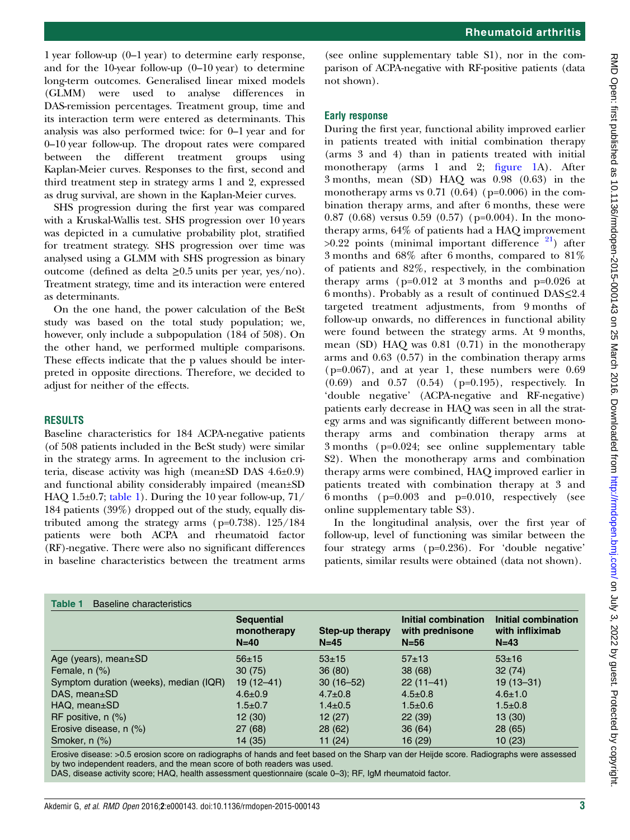1 year follow-up (0–1 year) to determine early response, and for the 10-year follow-up (0–10 year) to determine long-term outcomes. Generalised linear mixed models (GLMM) were used to analyse differences in DAS-remission percentages. Treatment group, time and its interaction term were entered as determinants. This analysis was also performed twice: for 0–1 year and for 0–10 year follow-up. The dropout rates were compared between the different treatment groups using Kaplan-Meier curves. Responses to the first, second and third treatment step in strategy arms 1 and 2, expressed as drug survival, are shown in the Kaplan-Meier curves.

SHS progression during the first year was compared with a Kruskal-Wallis test. SHS progression over 10 years was depicted in a cumulative probability plot, stratified for treatment strategy. SHS progression over time was analysed using a GLMM with SHS progression as binary outcome (defined as delta ≥0.5 units per year, yes/no). Treatment strategy, time and its interaction were entered as determinants.

On the one hand, the power calculation of the BeSt study was based on the total study population; we, however, only include a subpopulation (184 of 508). On the other hand, we performed multiple comparisons. These effects indicate that the p values should be interpreted in opposite directions. Therefore, we decided to adjust for neither of the effects.

#### RESULTS

Baseline characteristics for 184 ACPA-negative patients (of 508 patients included in the BeSt study) were similar in the strategy arms. In agreement to the inclusion criteria, disease activity was high (mean±SD DAS 4.6±0.9) and functional ability considerably impaired (mean±SD HAQ 1.5 $\pm$ 0.7; table 1). During the 10 year follow-up, 71/ 184 patients (39%) dropped out of the study, equally distributed among the strategy arms (p=0.738). 125/184 patients were both ACPA and rheumatoid factor (RF)-negative. There were also no significant differences in baseline characteristics between the treatment arms

(see online [supplementary table](http://dx.doi.org/10.1136/rmdopen-2015-000143) S1), nor in the comparison of ACPA-negative with RF-positive patients (data not shown).

#### Early response

During the first year, functional ability improved earlier in patients treated with initial combination therapy (arms 3 and 4) than in patients treated with initial monotherapy (arms 1 and 2; fi[gure 1](#page-3-0)A). After 3 months, mean (SD) HAQ was 0.98 (0.63) in the monotherapy arms vs  $0.71$  (0.64) (p=0.006) in the combination therapy arms, and after 6 months, these were 0.87 (0.68) versus 0.59 (0.57) ( $p=0.004$ ). In the monotherapy arms, 64% of patients had a HAQ improvement  $>0.22$  points (minimal important difference  $21$ ) after 3 months and 68% after 6 months, compared to 81% of patients and 82%, respectively, in the combination therapy arms ( $p=0.012$  at 3 months and  $p=0.026$  at 6 months). Probably as a result of continued DAS≤2.4 targeted treatment adjustments, from 9 months of follow-up onwards, no differences in functional ability were found between the strategy arms. At 9 months, mean (SD) HAQ was 0.81 (0.71) in the monotherapy arms and 0.63 (0.57) in the combination therapy arms  $(p=0.067)$ , and at year 1, these numbers were 0.69 (0.69) and 0.57 (0.54) (p=0.195), respectively. In 'double negative' (ACPA-negative and RF-negative) patients early decrease in HAQ was seen in all the strategy arms and was significantly different between monotherapy arms and combination therapy arms at 3 months (p=0.024; see online [supplementary table](http://dx.doi.org/10.1136/rmdopen-2015-000143) S2). When the monotherapy arms and combination therapy arms were combined, HAQ improved earlier in patients treated with combination therapy at 3 and 6 months (p=0.003 and p=0.010, respectively (see online [supplementary table](http://dx.doi.org/10.1136/rmdopen-2015-000143) S3).

In the longitudinal analysis, over the first year of follow-up, level of functioning was similar between the four strategy arms (p=0.236). For 'double negative' patients, similar results were obtained (data not shown).

|                                        | <b>Sequential</b><br>monotherapy<br>$N=40$ | Step-up therapy<br>$N=45$ | <b>Initial combination</b><br>with prednisone<br>$N = 56$ | Initial combination<br>with infliximab<br>$N=43$ |
|----------------------------------------|--------------------------------------------|---------------------------|-----------------------------------------------------------|--------------------------------------------------|
| Age (years), mean $\pm$ SD             | $56+15$                                    | $53 + 15$                 | $57+13$                                                   | $53 \pm 16$                                      |
| Female, $n$ $(\%)$                     | 30(75)                                     | 36(80)                    | 38(68)                                                    | 32(74)                                           |
| Symptom duration (weeks), median (IQR) | $19(12 - 41)$                              | $30(16 - 52)$             | $22(11-41)$                                               | $19(13 - 31)$                                    |
| DAS, mean±SD                           | $4.6 \pm 0.9$                              | $4.7 \pm 0.8$             | $4.5 \pm 0.8$                                             | $4.6 \pm 1.0$                                    |
| $HAQ$ , mean $\pm$ SD                  | $1.5 \pm 0.7$                              | $1.4 \pm 0.5$             | $1.5 \pm 0.6$                                             | $1.5 \pm 0.8$                                    |
| RF positive, $n$ $(\%)$                | 12(30)                                     | 12(27)                    | 22(39)                                                    | 13(30)                                           |
| Erosive disease, n (%)                 | 27(68)                                     | 28(62)                    | 36(64)                                                    | 28 (65)                                          |
| Smoker, n (%)                          | 14 (35)                                    | 11 $(24)$                 | 16(29)                                                    | 10(23)                                           |

Erosive disease: >0.5 erosion score on radiographs of hands and feet based on the Sharp van der Heijde score. Radiographs were assessed by two independent readers, and the mean score of both readers was used. DAS, disease activity score; HAQ, health assessment questionnaire (scale 0–3); RF, IgM rheumatoid factor.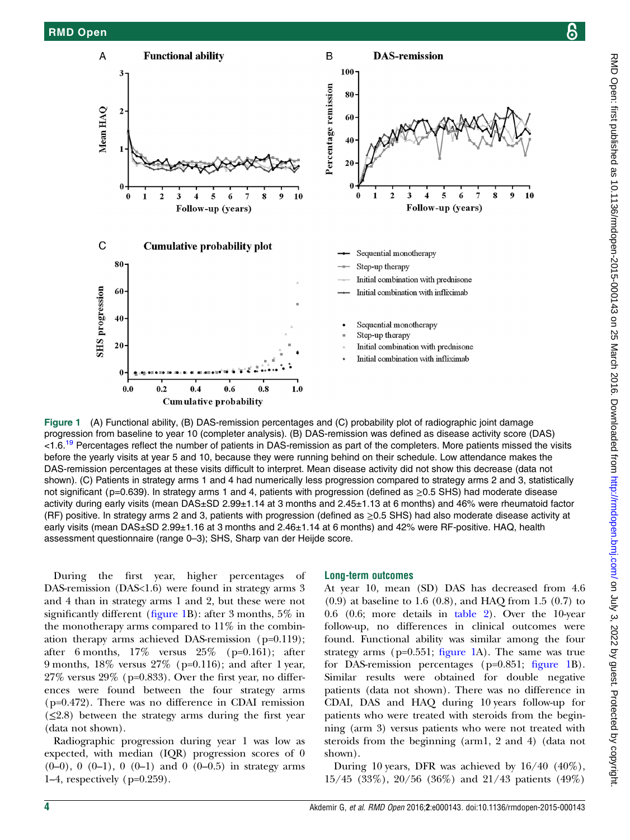<span id="page-3-0"></span>

Figure 1 (A) Functional ability, (B) DAS-remission percentages and (C) probability plot of radiographic joint damage progression from baseline to year 10 (completer analysis). (B) DAS-remission was defined as disease activity score (DAS) <1.6.<sup>[19](#page-7-0)</sup> Percentages reflect the number of patients in DAS-remission as part of the completers. More patients missed the visits before the yearly visits at year 5 and 10, because they were running behind on their schedule. Low attendance makes the DAS-remission percentages at these visits difficult to interpret. Mean disease activity did not show this decrease (data not shown). (C) Patients in strategy arms 1 and 4 had numerically less progression compared to strategy arms 2 and 3, statistically not significant (p=0.639). In strategy arms 1 and 4, patients with progression (defined as ≥0.5 SHS) had moderate disease activity during early visits (mean DAS±SD 2.99±1.14 at 3 months and 2.45±1.13 at 6 months) and 46% were rheumatoid factor (RF) positive. In strategy arms 2 and 3, patients with progression (defined as  $\geq$ 0.5 SHS) had also moderate disease activity at early visits (mean DAS±SD 2.99±1.16 at 3 months and 2.46±1.14 at 6 months) and 42% were RF-positive. HAQ, health assessment questionnaire (range 0–3); SHS, Sharp van der Heijde score.

During the first year, higher percentages of DAS-remission (DAS<1.6) were found in strategy arms 3 and 4 than in strategy arms 1 and 2, but these were not significantly different (figure 1B): after 3 months, 5% in the monotherapy arms compared to  $11\%$  in the combination therapy arms achieved DAS-remission (p=0.119); after 6 months, 17% versus 25% (p=0.161); after 9 months, 18% versus 27% (p=0.116); and after 1 year,  $27\%$  versus  $29\%$  (p=0.833). Over the first year, no differences were found between the four strategy arms (p=0.472). There was no difference in CDAI remission  $(\leq 2.8)$  between the strategy arms during the first year (data not shown).

Radiographic progression during year 1 was low as expected, with median (IQR) progression scores of 0  $(0-0)$ , 0  $(0-1)$ , 0  $(0-1)$  and 0  $(0-0.5)$  in strategy arms 1–4, respectively (p=0.259).

#### Long-term outcomes

At year 10, mean (SD) DAS has decreased from 4.6 (0.9) at baseline to 1.6 (0.8), and HAQ from 1.5 (0.7) to 0.6 (0.6; more details in [table 2](#page-4-0)). Over the 10-year follow-up, no differences in clinical outcomes were found. Functional ability was similar among the four strategy arms ( $p=0.551$ ; figure 1A). The same was true for DAS-remission percentages (p=0.851; figure 1B). Similar results were obtained for double negative patients (data not shown). There was no difference in CDAI, DAS and HAQ during 10 years follow-up for patients who were treated with steroids from the beginning (arm 3) versus patients who were not treated with steroids from the beginning (arm1, 2 and 4) (data not shown).

During 10 years, DFR was achieved by 16/40 (40%), 15/45 (33%), 20/56 (36%) and 21/43 patients (49%)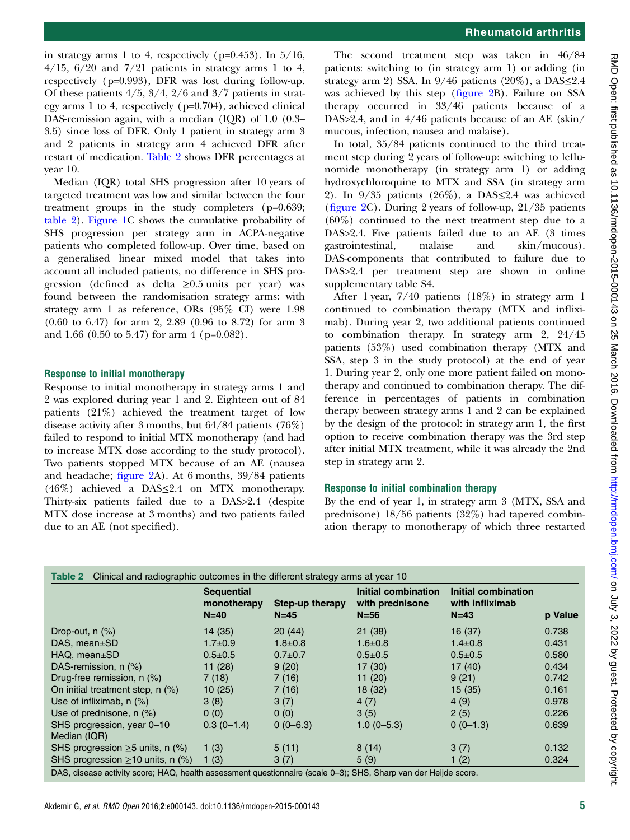RMD Open: first published as 10.1136/rmdopen-2015-000143 on 25 March 2016. Downloaded from http://rmdopen.bmj.com/ on July 3, 2022 by guest. Protected by copyright on July 3, 2022 by guest. Protected by copyright. <http://rmdopen.bmj.com/> RMD Open: first published as 10.1136/rmdopen-2015-000143 on 25 March 2016. Downloaded from

<span id="page-4-0"></span>in strategy arms 1 to 4, respectively ( $p=0.453$ ). In  $5/16$ ,  $4/15$ ,  $6/20$  and  $7/21$  patients in strategy arms 1 to 4, respectively (p=0.993), DFR was lost during follow-up. Of these patients  $4/5$ ,  $3/4$ ,  $2/6$  and  $3/7$  patients in strategy arms 1 to 4, respectively (p=0.704), achieved clinical DAS-remission again, with a median (IQR) of 1.0 (0.3– 3.5) since loss of DFR. Only 1 patient in strategy arm 3 and 2 patients in strategy arm 4 achieved DFR after restart of medication. Table 2 shows DFR percentages at year 10.

Median (IQR) total SHS progression after 10 years of targeted treatment was low and similar between the four treatment groups in the study completers (p=0.639; table 2). [Figure 1](#page-3-0)C shows the cumulative probability of SHS progression per strategy arm in ACPA-negative patients who completed follow-up. Over time, based on a generalised linear mixed model that takes into account all included patients, no difference in SHS progression (defined as delta  $\geq 0.5$  units per year) was found between the randomisation strategy arms: with strategy arm 1 as reference, ORs (95% CI) were 1.98 (0.60 to 6.47) for arm 2, 2.89 (0.96 to 8.72) for arm 3 and 1.66 (0.50 to 5.47) for arm 4 (p=0.082).

### Response to initial monotherapy

Response to initial monotherapy in strategy arms 1 and 2 was explored during year 1 and 2. Eighteen out of 84 patients (21%) achieved the treatment target of low disease activity after 3 months, but 64/84 patients (76%) failed to respond to initial MTX monotherapy (and had to increase MTX dose according to the study protocol). Two patients stopped MTX because of an AE (nausea and headache; fi[gure 2A](#page-5-0)). At 6 months, 39/84 patients (46%) achieved a DAS≤2.4 on MTX monotherapy. Thirty-six patients failed due to a DAS>2.4 (despite MTX dose increase at 3 months) and two patients failed due to an AE (not specified).

The second treatment step was taken in 46/84 patients: switching to (in strategy arm 1) or adding (in strategy arm 2) SSA. In  $9/46$  patients  $(20\%)$ , a DAS $\leq 2.4$ was achieved by this step (fi[gure 2](#page-5-0)B). Failure on SSA therapy occurred in 33/46 patients because of a DAS>2.4, and in 4/46 patients because of an AE (skin/ mucous, infection, nausea and malaise).

In total, 35/84 patients continued to the third treatment step during 2 years of follow-up: switching to leflunomide monotherapy (in strategy arm 1) or adding hydroxychloroquine to MTX and SSA (in strategy arm 2). In  $9/35$  patients (26%), a DAS $\leq$ 2.4 was achieved (fi[gure 2](#page-5-0)C). During 2 years of follow-up, 21/35 patients (60%) continued to the next treatment step due to a DAS>2.4. Five patients failed due to an AE (3 times gastrointestinal, malaise and skin/mucous). DAS-components that contributed to failure due to DAS>2.4 per treatment step are shown in online [supplementary table](http://dx.doi.org/10.1136/rmdopen-2015-000143) S4.

After 1 year, 7/40 patients (18%) in strategy arm 1 continued to combination therapy (MTX and infliximab). During year 2, two additional patients continued to combination therapy. In strategy arm 2, 24/45 patients (53%) used combination therapy (MTX and SSA, step 3 in the study protocol) at the end of year 1. During year 2, only one more patient failed on monotherapy and continued to combination therapy. The difference in percentages of patients in combination therapy between strategy arms 1 and 2 can be explained by the design of the protocol: in strategy arm 1, the first option to receive combination therapy was the 3rd step after initial MTX treatment, while it was already the 2nd step in strategy arm 2.

# Response to initial combination therapy

By the end of year 1, in strategy arm 3 (MTX, SSA and prednisone) 18/56 patients (32%) had tapered combination therapy to monotherapy of which three restarted

|                                            | <b>Sequential</b><br>monotherapy<br>$N=40$ | Step-up therapy<br>$N=45$ | Initial combination<br>with prednisone<br>$N = 56$ | Initial combination<br>with infliximab<br>$N=43$ | p Value |
|--------------------------------------------|--------------------------------------------|---------------------------|----------------------------------------------------|--------------------------------------------------|---------|
| Drop-out, $n$ $(\%)$                       | 14(35)                                     | 20(44)                    | 21(38)                                             | 16(37)                                           | 0.738   |
| DAS, mean±SD                               | $1.7 \pm 0.9$                              | $1.8 \pm 0.8$             | $1.6 \pm 0.8$                                      | $1.4 \pm 0.8$                                    | 0.431   |
| $HAQ$ , mean $\pm$ SD                      | $0.5 \pm 0.5$                              | $0.7 + 0.7$               | $0.5 + 0.5$                                        | $0.5 \pm 0.5$                                    | 0.580   |
| DAS-remission, n (%)                       | 11(28)                                     | 9(20)                     | 17(30)                                             | 17(40)                                           | 0.434   |
| Drug-free remission, n (%)                 | 7(18)                                      | 7(16)                     | 11(20)                                             | 9(21)                                            | 0.742   |
| On initial treatment step, $n$ (%)         | 10(25)                                     | 7(16)                     | 18(32)                                             | 15(35)                                           | 0.161   |
| Use of infliximab, n (%)                   | 3(8)                                       | 3(7)                      | 4(7)                                               | 4(9)                                             | 0.978   |
| Use of prednisone, $n$ (%)                 | 0(0)                                       | 0(0)                      | 3(5)                                               | 2(5)                                             | 0.226   |
| SHS progression, year 0-10<br>Median (IQR) | $0.3(0-1.4)$                               | $0(0-6.3)$                | $1.0(0-5.3)$                                       | $0(0-1.3)$                                       | 0.639   |
| SHS progression $\geq$ 5 units, n (%)      | 1(3)                                       | 5(11)                     | 8(14)                                              | 3(7)                                             | 0.132   |
| SHS progression $\geq$ 10 units, n (%)     | 1(3)                                       | 3(7)                      | 5(9)                                               | 1(2)                                             | 0.324   |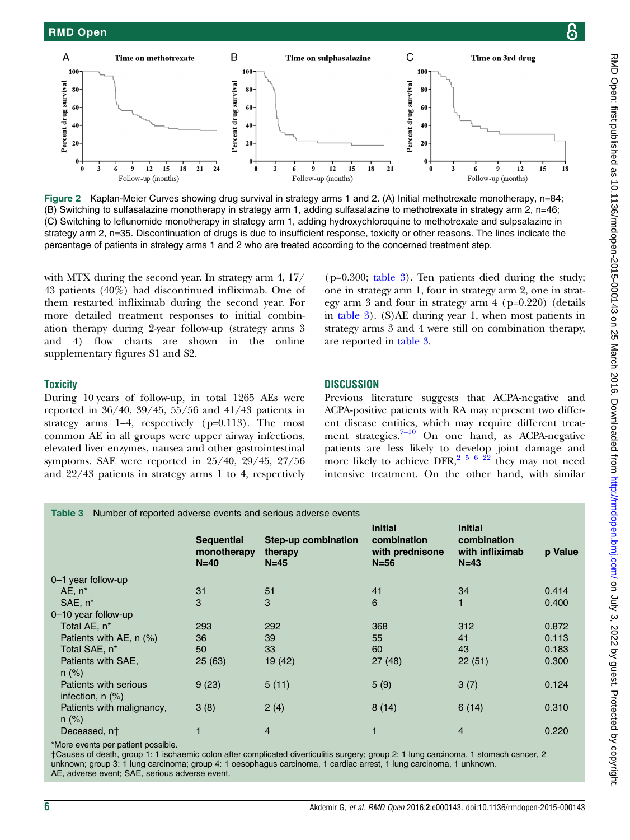<span id="page-5-0"></span>

Figure 2 Kaplan-Meier Curves showing drug survival in strategy arms 1 and 2. (A) Initial methotrexate monotherapy, n=84; (B) Switching to sulfasalazine monotherapy in strategy arm 1, adding sulfasalazine to methotrexate in strategy arm 2, n=46; (C) Switching to leflunomide monotherapy in strategy arm 1, adding hydroxychloroquine to methotrexate and sulpsalazine in strategy arm 2, n=35. Discontinuation of drugs is due to insufficient response, toxicity or other reasons. The lines indicate the percentage of patients in strategy arms 1 and 2 who are treated according to the concerned treatment step.

with MTX during the second year. In strategy arm 4, 17/ 43 patients (40%) had discontinued infliximab. One of them restarted infliximab during the second year. For more detailed treatment responses to initial combination therapy during 2-year follow-up (strategy arms 3 and 4) flow charts are shown in the online [supplementary](http://dx.doi.org/10.1136/rmdopen-2015-000143) figures S1 and S2.

(p=0.300; table 3). Ten patients died during the study; one in strategy arm 1, four in strategy arm 2, one in strategy arm 3 and four in strategy arm 4 (p=0.220) (details in table 3). (S)AE during year 1, when most patients in strategy arms 3 and 4 were still on combination therapy, are reported in table 3.

### **Toxicity**

During 10 years of follow-up, in total 1265 AEs were reported in 36/40, 39/45, 55/56 and 41/43 patients in strategy arms 1–4, respectively (p=0.113). The most common AE in all groups were upper airway infections, elevated liver enzymes, nausea and other gastrointestinal symptoms. SAE were reported in 25/40, 29/45, 27/56 and 22/43 patients in strategy arms 1 to 4, respectively

#### **DISCUSSION**

Previous literature suggests that ACPA-negative and ACPA-positive patients with RA may represent two different disease entities, which may require different treatment strategies. $7-10$  $7-10$  On one hand, as ACPA-negative patients are less likely to develop joint damage and more likely to achieve DFR,<sup>[2 5 6](#page-7-0) [22](#page-8-0)</sup> they may not need intensive treatment. On the other hand, with similar

|                                                | <b>Sequential</b><br>monotherapy<br>$N=40$ | Step-up combination<br>therapy<br>$N=45$ | <b>Initial</b><br>combination<br>with prednisone<br>$N = 56$ | <b>Initial</b><br>combination<br>with infliximab<br>$N=43$ | p Value |
|------------------------------------------------|--------------------------------------------|------------------------------------------|--------------------------------------------------------------|------------------------------------------------------------|---------|
| 0–1 year follow-up                             |                                            |                                          |                                                              |                                                            |         |
| $AE, n^*$                                      | 31                                         | 51                                       | 41                                                           | 34                                                         | 0.414   |
| SAE, n*                                        | 3                                          | 3                                        | 6                                                            |                                                            | 0.400   |
| 0-10 year follow-up                            |                                            |                                          |                                                              |                                                            |         |
| Total AE, n <sup>*</sup>                       | 293                                        | 292                                      | 368                                                          | 312                                                        | 0.872   |
| Patients with AE, $n$ (%)                      | 36                                         | 39                                       | 55                                                           | 41                                                         | 0.113   |
| Total SAE, n <sup>*</sup>                      | 50                                         | 33                                       | 60                                                           | 43                                                         | 0.183   |
| Patients with SAE,<br>$n$ (%)                  | 25(63)                                     | 19 (42)                                  | 27(48)                                                       | 22(51)                                                     | 0.300   |
| Patients with serious<br>infection, $n$ $(\%)$ | 9(23)                                      | 5(11)                                    | 5(9)                                                         | 3(7)                                                       | 0.124   |
| Patients with malignancy,<br>$n$ (%)           | 3(8)                                       | 2(4)                                     | 8(14)                                                        | 6(14)                                                      | 0.310   |
| Deceased, nt                                   |                                            | $\overline{4}$                           |                                                              | $\overline{4}$                                             | 0.220   |

\*More events per patient possible.

†Causes of death, group 1: 1 ischaemic colon after complicated diverticulitis surgery; group 2: 1 lung carcinoma, 1 stomach cancer, 2 unknown; group 3: 1 lung carcinoma; group 4: 1 oesophagus carcinoma, 1 cardiac arrest, 1 lung carcinoma, 1 unknown. AE, adverse event; SAE, serious adverse event.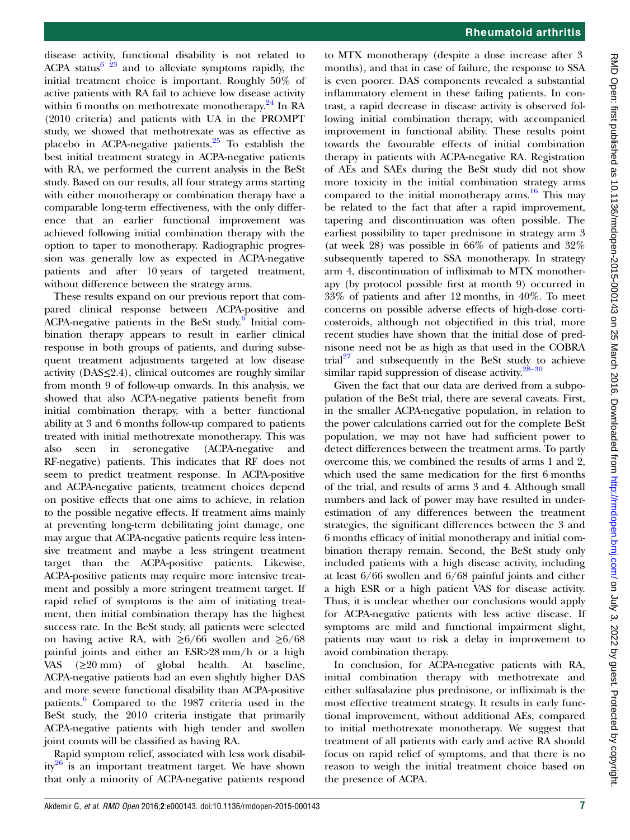disease activity, functional disability is not related to ACPA status<sup>[6](#page-7-0) [23](#page-8-0)</sup> and to alleviate symptoms rapidly, the initial treatment choice is important. Roughly 50% of active patients with RA fail to achieve low disease activity within 6 months on methotrexate monotherapy.<sup>24</sup> In RA (2010 criteria) and patients with UA in the PROMPT study, we showed that methotrexate was as effective as placebo in ACPA-negative patients. $25$  To establish the best initial treatment strategy in ACPA-negative patients with RA, we performed the current analysis in the BeSt study. Based on our results, all four strategy arms starting with either monotherapy or combination therapy have a comparable long-term effectiveness, with the only difference that an earlier functional improvement was achieved following initial combination therapy with the option to taper to monotherapy. Radiographic progression was generally low as expected in ACPA-negative patients and after 10 years of targeted treatment, without difference between the strategy arms.

These results expand on our previous report that compared clinical response between ACPA-positive and ACPA-negative patients in the BeSt study.<sup>6</sup> Initial combination therapy appears to result in earlier clinical response in both groups of patients, and during subsequent treatment adjustments targeted at low disease activity (DAS≤2.4), clinical outcomes are roughly similar from month 9 of follow-up onwards. In this analysis, we showed that also ACPA-negative patients benefit from initial combination therapy, with a better functional ability at 3 and 6 months follow-up compared to patients treated with initial methotrexate monotherapy. This was also seen in seronegative (ACPA-negative and RF-negative) patients. This indicates that RF does not seem to predict treatment response. In ACPA-positive and ACPA-negative patients, treatment choices depend on positive effects that one aims to achieve, in relation to the possible negative effects. If treatment aims mainly at preventing long-term debilitating joint damage, one may argue that ACPA-negative patients require less intensive treatment and maybe a less stringent treatment target than the ACPA-positive patients. Likewise, ACPA-positive patients may require more intensive treatment and possibly a more stringent treatment target. If rapid relief of symptoms is the aim of initiating treatment, then initial combination therapy has the highest success rate. In the BeSt study, all patients were selected on having active RA, with  $\geq 6/66$  swollen and  $\geq 6/68$ painful joints and either an ESR>28 mm/h or a high VAS (≥20 mm) of global health. At baseline, ACPA-negative patients had an even slightly higher DAS and more severe functional disability than ACPA-positive patients.<sup>[6](#page-7-0)</sup> Compared to the 1987 criteria used in the BeSt study, the 2010 criteria instigate that primarily ACPA-negative patients with high tender and swollen joint counts will be classified as having RA.

Rapid symptom relief, associated with less work disabil-ity<sup>[26](#page-8-0)</sup> is an important treatment target. We have shown that only a minority of ACPA-negative patients respond

to MTX monotherapy (despite a dose increase after 3 months), and that in case of failure, the response to SSA is even poorer. DAS components revealed a substantial inflammatory element in these failing patients. In contrast, a rapid decrease in disease activity is observed following initial combination therapy, with accompanied improvement in functional ability. These results point towards the favourable effects of initial combination therapy in patients with ACPA-negative RA. Registration of AEs and SAEs during the BeSt study did not show more toxicity in the initial combination strategy arms compared to the initial monotherapy arms. $16$  This may be related to the fact that after a rapid improvement, tapering and discontinuation was often possible. The earliest possibility to taper prednisone in strategy arm 3 (at week 28) was possible in  $66\%$  of patients and  $32\%$ subsequently tapered to SSA monotherapy. In strategy arm 4, discontinuation of infliximab to MTX monotherapy (by protocol possible first at month 9) occurred in 33% of patients and after 12 months, in 40%. To meet concerns on possible adverse effects of high-dose corticosteroids, although not objectified in this trial, more recent studies have shown that the initial dose of prednisone need not be as high as that used in the COBRA trial $^{27}$  $^{27}$  $^{27}$  and subsequently in the BeSt study to achieve similar rapid suppression of disease activity. $28-30$ 

Given the fact that our data are derived from a subpopulation of the BeSt trial, there are several caveats. First, in the smaller ACPA-negative population, in relation to the power calculations carried out for the complete BeSt population, we may not have had sufficient power to detect differences between the treatment arms. To partly overcome this, we combined the results of arms 1 and 2, which used the same medication for the first 6 months of the trial, and results of arms 3 and 4. Although small numbers and lack of power may have resulted in underestimation of any differences between the treatment strategies, the significant differences between the 3 and 6 months efficacy of initial monotherapy and initial combination therapy remain. Second, the BeSt study only included patients with a high disease activity, including at least 6/66 swollen and 6/68 painful joints and either a high ESR or a high patient VAS for disease activity. Thus, it is unclear whether our conclusions would apply for ACPA-negative patients with less active disease. If symptoms are mild and functional impairment slight, patients may want to risk a delay in improvement to avoid combination therapy.

In conclusion, for ACPA-negative patients with RA, initial combination therapy with methotrexate and either sulfasalazine plus prednisone, or infliximab is the most effective treatment strategy. It results in early functional improvement, without additional AEs, compared to initial methotrexate monotherapy. We suggest that treatment of all patients with early and active RA should focus on rapid relief of symptoms, and that there is no reason to weigh the initial treatment choice based on the presence of ACPA.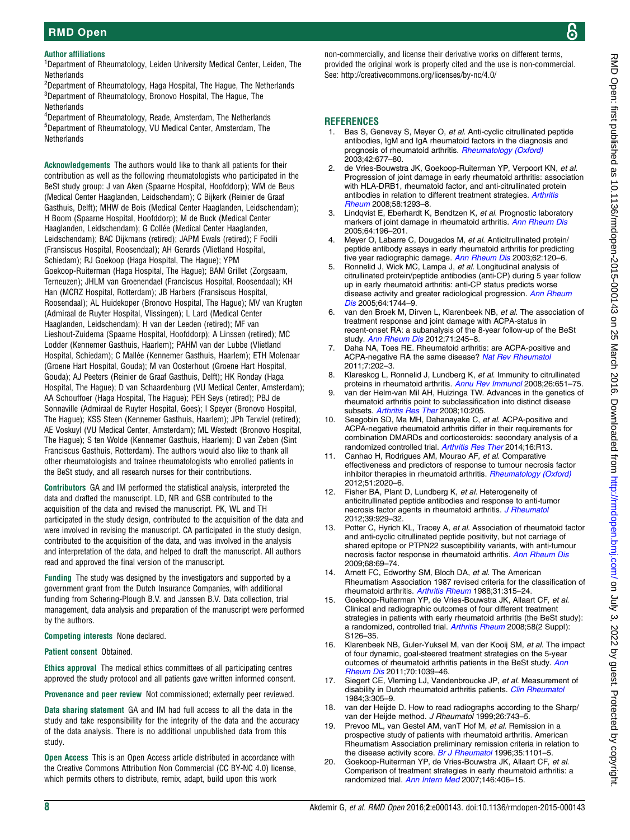# <span id="page-7-0"></span>RMD Open

Author affiliations

<sup>1</sup>Department of Rheumatology, Leiden University Medical Center, Leiden, The **Netherlands** 

 $^{2}$ Department of Rheumatology, Haga Hospital, The Hague, The Netherlands  $^3$ Department of Rheumatology, Bronovo Hospital, The Hague, The **Netherlands** 

4 Department of Rheumatology, Reade, Amsterdam, The Netherlands 5 Department of Rheumatology, VU Medical Center, Amsterdam, The **Netherlands** 

Acknowledgements The authors would like to thank all patients for their contribution as well as the following rheumatologists who participated in the BeSt study group: J van Aken (Spaarne Hospital, Hoofddorp); WM de Beus (Medical Center Haaglanden, Leidschendam); C Bijkerk (Reinier de Graaf Gasthuis, Delft); MHW de Bois (Medical Center Haaglanden, Leidschendam); H Boom (Spaarne Hospital, Hoofddorp); M de Buck (Medical Center Haaglanden, Leidschendam); G Collée (Medical Center Haaglanden, Leidschendam); BAC Dijkmans (retired); JAPM Ewals (retired); F Fodili (Fransiscus Hospital, Roosendaal); AH Gerards (Vlietland Hospital, Schiedam); RJ Goekoop (Haga Hospital, The Hague); YPM Goekoop-Ruiterman (Haga Hospital, The Hague); BAM Grillet (Zorgsaam, Terneuzen); JHLM van Groenendael (Franciscus Hospital, Roosendaal); KH Han (MCRZ Hospital, Rotterdam); JB Harbers (Fransiscus Hospital, Roosendaal); AL Huidekoper (Bronovo Hospital, The Hague); MV van Krugten (Admiraal de Ruyter Hospital, Vlissingen); L Lard (Medical Center Haaglanden, Leidschendam); H van der Leeden (retired); MF van Lieshout-Zuidema (Spaarne Hospital, Hoofddorp); A Linssen (retired); MC Lodder (Kennemer Gasthuis, Haarlem); PAHM van der Lubbe (Vlietland Hospital, Schiedam); C Mallée (Kennemer Gasthuis, Haarlem); ETH Molenaar (Groene Hart Hospital, Gouda); M van Oosterhout (Groene Hart Hospital, Gouda); AJ Peeters (Reinier de Graaf Gasthuis, Delft); HK Ronday (Haga Hospital, The Hague); D van Schaardenburg (VU Medical Center, Amsterdam); AA Schouffoer (Haga Hospital, The Hague); PEH Seys (retired); PBJ de Sonnaville (Admiraal de Ruyter Hospital, Goes); I Speyer (Bronovo Hospital, The Hague); KSS Steen (Kennemer Gasthuis, Haarlem); JPh Terwiel (retired); AE Voskuyl (VU Medical Center, Amsterdam); ML Westedt (Bronovo Hospital, The Hague); S ten Wolde (Kennemer Gasthuis, Haarlem); D van Zeben (Sint Franciscus Gasthuis, Rotterdam). The authors would also like to thank all other rheumatologists and trainee rheumatologists who enrolled patients in the BeSt study, and all research nurses for their contributions.

Contributors GA and IM performed the statistical analysis, interpreted the data and drafted the manuscript. LD, NR and GSB contributed to the acquisition of the data and revised the manuscript. PK, WL and TH participated in the study design, contributed to the acquisition of the data and were involved in revising the manuscript. CA participated in the study design, contributed to the acquisition of the data, and was involved in the analysis and interpretation of the data, and helped to draft the manuscript. All authors read and approved the final version of the manuscript.

Funding The study was designed by the investigators and supported by a government grant from the Dutch Insurance Companies, with additional funding from Schering-Plough B.V. and Janssen B.V. Data collection, trial management, data analysis and preparation of the manuscript were performed by the authors.

Competing interests None declared.

Patient consent Obtained.

Ethics approval The medical ethics committees of all participating centres approved the study protocol and all patients gave written informed consent.

Provenance and peer review Not commissioned; externally peer reviewed.

Data sharing statement GA and IM had full access to all the data in the study and take responsibility for the integrity of the data and the accuracy of the data analysis. There is no additional unpublished data from this study.

Open Access This is an Open Access article distributed in accordance with the Creative Commons Attribution Non Commercial (CC BY-NC 4.0) license, which permits others to distribute, remix, adapt, build upon this work

non-commercially, and license their derivative works on different terms, provided the original work is properly cited and the use is non-commercial. See:<http://creativecommons.org/licenses/by-nc/4.0/>

#### **REFERENCES**

- 1. Bas S, Genevay S, Meyer O, et al. Anti-cyclic citrullinated peptide antibodies, IgM and IgA rheumatoid factors in the diagnosis and prognosis of rheumatoid arthritis. [Rheumatology \(Oxford\)](http://dx.doi.org/10.1093/rheumatology/keg184) 2003;42:677–80.
- 2. de Vries-Bouwstra JK, Goekoop-Ruiterman YP, Verpoort KN, et al. Progression of joint damage in early rheumatoid arthritis: association with HLA-DRB1, rheumatoid factor, and anti-citrullinated protein antibodies in relation to different treatment strategies. [Arthritis](http://dx.doi.org/10.1002/art.23439) [Rheum](http://dx.doi.org/10.1002/art.23439) 2008;58:1293–8.
- 3. Lindqvist E, Eberhardt K, Bendtzen K, et al. Prognostic laboratory markers of joint damage in rheumatoid arthritis. [Ann Rheum Dis](http://dx.doi.org/10.1136/ard.2003.019992) 2005;64:196–201.
- 4. Meyer O, Labarre C, Dougados M, et al. Anticitrullinated protein/ peptide antibody assays in early rheumatoid arthritis for predicting five year radiographic damage. [Ann Rheum Dis](http://dx.doi.org/10.1136/ard.62.2.120) 2003;62:120–6.
- 5. Ronnelid J, Wick MC, Lampa J, et al. Longitudinal analysis of citrullinated protein/peptide antibodies (anti-CP) during 5 year follow up in early rheumatoid arthritis: anti-CP status predicts worse disease activity and greater radiological progression. [Ann Rheum](http://dx.doi.org/10.1136/ard.2004.033571) [Dis](http://dx.doi.org/10.1136/ard.2004.033571) 2005:64:1744-9.
- 6. van den Broek M, Dirven L, Klarenbeek NB, et al. The association of treatment response and joint damage with ACPA-status in recent-onset RA: a subanalysis of the 8-year follow-up of the BeSt study. [Ann Rheum Dis](http://dx.doi.org/10.1136/annrheumdis-2011-200379) 2012;71:245-8.
- 7. Daha NA, Toes RE. Rheumatoid arthritis: are ACPA-positive and ACPA-negative RA the same disease? [Nat Rev Rheumatol](http://dx.doi.org/10.1038/nrrheum.2011.28) 2011;7:202–3.
- Klareskog L, Ronnelid J, Lundberg K, et al. Immunity to citrullinated proteins in rheumatoid arthritis. [Annu Rev Immunol](http://dx.doi.org/10.1146/annurev.immunol.26.021607.090244) 2008;26:651–75.
- 9. van der Helm-van Mil AH, Huizinga TW. Advances in the genetics of rheumatoid arthritis point to subclassification into distinct disease subsets. [Arthritis Res Ther](http://dx.doi.org/10.1186/ar2384) 2008;10:205.
- 10. Seegobin SD, Ma MH, Dahanayake C, et al. ACPA-positive and ACPA-negative rheumatoid arthritis differ in their requirements for combination DMARDs and corticosteroids: secondary analysis of a randomized controlled trial. [Arthritis Res Ther](http://dx.doi.org/10.1186/ar4439) 2014;16:R13.
- Canhao H, Rodrigues AM, Mourao AF, et al. Comparative effectiveness and predictors of response to tumour necrosis factor inhibitor therapies in rheumatoid arthritis. [Rheumatology \(Oxford\)](http://dx.doi.org/10.1093/rheumatology/kes184) 2012;51:2020–6.
- 12. Fisher BA, Plant D, Lundberg K, et al. Heterogeneity of anticitrullinated peptide antibodies and response to anti-tumor necrosis factor agents in rheumatoid arthritis. [J Rheumatol](http://dx.doi.org/10.3899/jrheum.111315) 2012;39:929–32.
- 13. Potter C, Hyrich KL, Tracey A, et al. Association of rheumatoid factor and anti-cyclic citrullinated peptide positivity, but not carriage of shared epitope or PTPN22 susceptibility variants, with anti-tumour necrosis factor response in rheumatoid arthritis. [Ann Rheum Dis](http://dx.doi.org/10.1136/ard.2007.084715) 2009;68:69–74.
- 14. Arnett FC, Edworthy SM, Bloch DA, et al. The American Rheumatism Association 1987 revised criteria for the classification of rheumatoid arthritis. [Arthritis Rheum](http://dx.doi.org/10.1002/art.1780310302) 1988;31:315–24.
- 15. Goekoop-Ruiterman YP, de Vries-Bouwstra JK, Allaart CF, et al. Clinical and radiographic outcomes of four different treatment strategies in patients with early rheumatoid arthritis (the BeSt study): a randomized, controlled trial. [Arthritis Rheum](http://dx.doi.org/10.1002/art.23364) 2008;58(2 Suppl): S126–35.
- 16. Klarenbeek NB, Guler-Yuksel M, van der Kooij SM, et al. The impact of four dynamic, goal-steered treatment strategies on the 5-year outcomes of rheumatoid arthritis patients in the BeSt study. [Ann](http://dx.doi.org/10.1136/ard.2010.141234) [Rheum Dis](http://dx.doi.org/10.1136/ard.2010.141234) 2011;70:1039–46.
- 17. Siegert CE, Vleming LJ, Vandenbroucke JP, et al. Measurement of disability in Dutch rheumatoid arthritis patients. [Clin Rheumatol](http://dx.doi.org/10.1007/BF02032335) 1984;3:305–9.
- 18. van der Heijde D. How to read radiographs according to the Sharp/ van der Heijde method. J Rheumatol 1999;26:743-5.
- 19. Prevoo ML, van Gestel AM, vanT Hof M, et al. Remission in a prospective study of patients with rheumatoid arthritis. American Rheumatism Association preliminary remission criteria in relation to the disease activity score. [Br J Rheumatol](http://dx.doi.org/10.1093/rheumatology/35.11.1101) 1996;35:1101-5.
- 20. Goekoop-Ruiterman YP, de Vries-Bouwstra JK, Allaart CF, et al. Comparison of treatment strategies in early rheumatoid arthritis: a randomized trial. [Ann Intern Med](http://dx.doi.org/10.7326/0003-4819-146-6-200703200-00005) 2007;146:406-15.